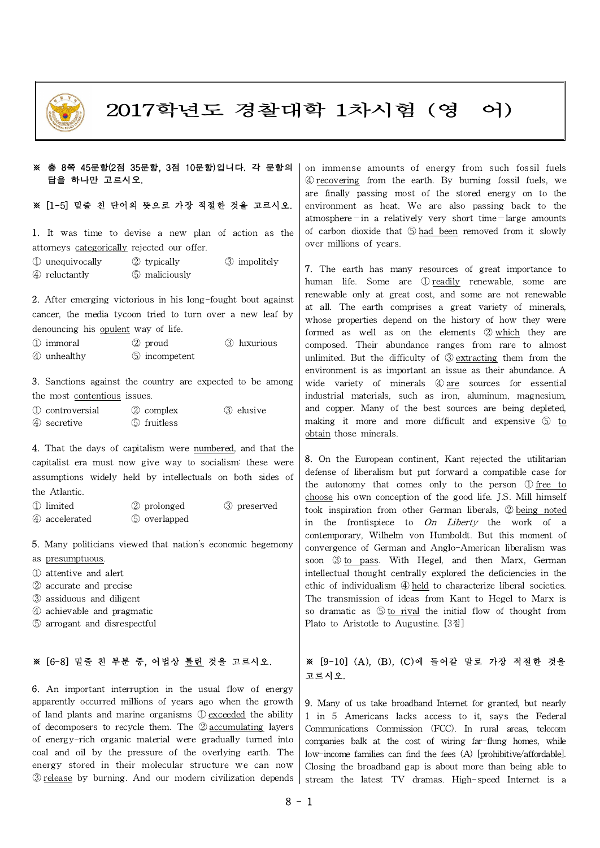

# 2017학년도 경찰대학 1차시험 (영 어)

#### ※ 총 8쪽 45문항(2점 35문항, 3점 10문항)입니다. 각 문항의 답을 하나만 고르시오.

## ※ [1-5] 밑줄 친 단어의 뜻으로 가장 적절한 것을 고르시오.

1. It was time to devise a new plan of action as the attorneys categorically rejected our offer.

① unequivocally ② typically ③ impolitely ④ reluctantly ⑤ maliciously

2. After emerging victorious in his long-fought bout against cancer, the media tycoon tried to turn over a new leaf by denouncing his opulent way of life.

| 1 immoral   | $(2)$ proud     | (3) luxurious |  |
|-------------|-----------------|---------------|--|
| 4 unhealthy | (5) incompetent |               |  |

3. Sanctions against the country are expected to be among the most contentious issues.

| 1 controversial | 2 complex     | (3) elusive |  |
|-----------------|---------------|-------------|--|
| 4 secretive     | (5) fruitless |             |  |

4. That the days of capitalism were numbered, and that the capitalist era must now give way to socialism: these were assumptions widely held by intellectuals on both sides of the Atlantic.

| 1 limited     | 2 prolonged  | 3 preserved | to |
|---------------|--------------|-------------|----|
| 4 accelerated | 5 overlapped |             | 1n |

- 5. Many politicians viewed that nation's economic hegemony
- as presumptuous.
- ① attentive and alert
- ② accurate and precise
- ③ assiduous and diligent
- ④ achievable and pragmatic
- ⑤ arrogant and disrespectful

#### ※ [6-8] 밑줄 친 부분 중, 어법상 틀린 것을 고르시오.

6. An important interruption in the usual flow of energy apparently occurred millions of years ago when the growth of land plants and marine organisms ① exceeded the ability of decomposers to recycle them. The ② accumulating layers of energy-rich organic material were gradually turned into coal and oil by the pressure of the overlying earth. The energy stored in their molecular structure we can now ③ release by burning. And our modern civilization depends on immense amounts of energy from such fossil fuels ④ recovering from the earth. By burning fossil fuels, we are finally passing most of the stored energy on to the environment as heat. We are also passing back to the atmosphere—in a relatively very short time—large amounts of carbon dioxide that ⑤ had been removed from it slowly over millions of years.

7. The earth has many resources of great importance to human life. Some are ① readily renewable, some are renewable only at great cost, and some are not renewable at all. The earth comprises a great variety of minerals, whose properties depend on the history of how they were formed as well as on the elements ② which they are composed. Their abundance ranges from rare to almost unlimited. But the difficulty of ③ extracting them from the environment is as important an issue as their abundance. A wide variety of minerals 4 are sources for essential industrial materials, such as iron, aluminum, magnesium, and copper. Many of the best sources are being depleted, making it more and more difficult and expensive ⑤ to obtain those minerals.

8. On the European continent, Kant rejected the utilitarian defense of liberalism but put forward a compatible case for the autonomy that comes only to the person ① free to choose his own conception of the good life.J.S. Mill himself took inspiration from other German liberals, ② being noted in the frontispiece to  $On$  Liberty the work of a contemporary, Wilhelm von Humboldt. But this moment of convergence of German and Anglo-American liberalism was soon 3 to pass. With Hegel, and then Marx, German intellectual thought centrally explored the deficiencies in the ethic of individualism ④ held to characterize liberal societies. The transmission of ideas from Kant to Hegel to Marx is so dramatic as ⑤ to rival the initial flow of thought from Plato to Aristotle to Augustine. [3점]

## ※ [9-10] (A), (B), (C)에 들어갈 말로 가장 적절한 것을 고르시오.

9. Many of us take broadband Internet for granted, but nearly 1 in 5 Americans lacks access to it, says the Federal Communications Commission (FCC). In rural areas, telecom companies balk at the cost of wiring far-flung homes, while low-income families can find the fees (A) [prohibitive/affordable]. Closing the broadband gap is about more than being able to stream the latest TV dramas. High-speed Internet is a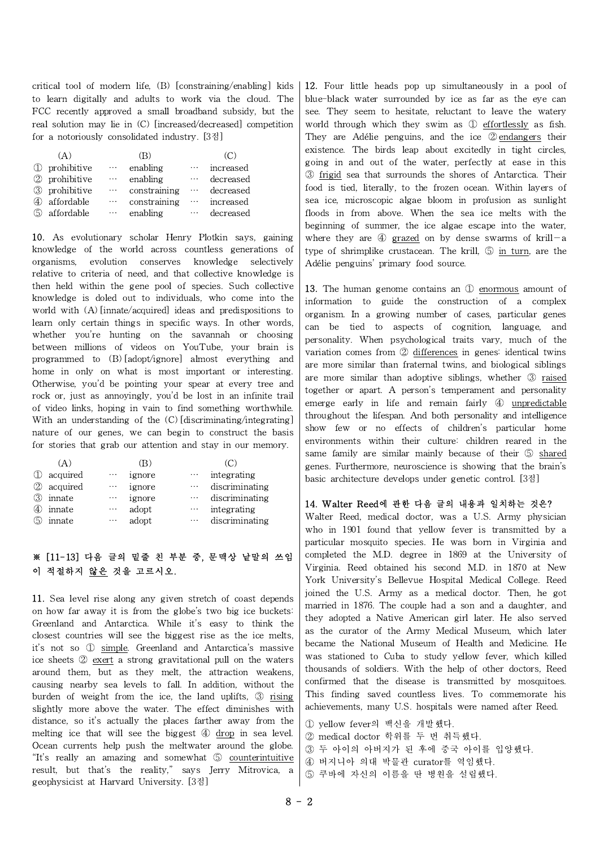critical tool of modern life, (B) [constraining/enabling] kids to learn digitally and adults to work via the cloud. The FCC recently approved a small broadband subsidy, but the real solution may lie in (C) [increased/decreased] competition for a notoriously consolidated industry. [3점]

|     | (A)           |          | (R)          |                                        | (C)       |
|-----|---------------|----------|--------------|----------------------------------------|-----------|
|     | 1 prohibitive | $\cdots$ | enabling     | $\ldots$                               | increased |
|     | 2 prohibitive | $\ldots$ | enabling     | $\bullet$ + $\bullet$                  | decreased |
|     | 3 prohibitive | $\ldots$ | constraining | $\sim 1000$                            | decreased |
| (4) | affordable    | $\cdots$ | constraining | $\mathcal{L}(\mathbf{r},\mathbf{r})$ . | increased |
| (5) | affordable    | $\ldots$ | enabling     | $\cdots$                               | decreased |

10. As evolutionary scholar Henry Plotkin says, gaining knowledge of the world across countless generations of organisms, evolution conserves knowledge selectively relative to criteria of need, and that collective knowledge is then held within the gene pool of species. Such collective knowledge is doled out to individuals, who come into the world with (A) [innate/acquired] ideas and predispositions to learn only certain things in specific ways. In other words, whether you're hunting on the savannah or choosing between millions of videos on YouTube, your brain is programmed to (B) [adopt/ignore] almost everything and home in only on what is most important or interesting. Otherwise, you'd be pointing your spear at every tree and rock or, just as annoyingly, you'd be lost in an infinite trail of video links, hoping in vain to find something worthwhile. With an understanding of the (C) [discriminating/integrating] nature of our genes, we can begin to construct the basis for stories that grab our attention and stay in our memory.

|               | A.         |          | B      |          | (C)            | ٤            |
|---------------|------------|----------|--------|----------|----------------|--------------|
| ➀             | acquired   | $\cdots$ | ignore | $\cdots$ | integrating    | $\mathbf{I}$ |
|               | 2 acquired | $\cdots$ | ignore | $\cdots$ | discriminating |              |
| $\circled{3}$ | innate     | $\cdots$ | ignore | $\cdots$ | discriminating |              |
| (4)           | innate     | $\cdots$ | adopt  | $\cdots$ | integrating    |              |
| (5)           | innate     | $\cdots$ | adopt  | $\cdots$ | discriminating |              |

## ※ [11-13] 다음 글의 밑줄 친 부분 중, 문맥상 낱말의 쓰임 이 적절하지 않은 것을 고르시오.

11. Sea level rise along any given stretch of coast depends on how far away it is from the globe's two big ice buckets: Greenland and Antarctica. While it's easy to think the closest countries will see the biggest rise as the ice melts, it's not so ① simple. Greenland and Antarctica's massive ice sheets ② exert a strong gravitational pull on the waters around them, but as they melt, the attraction weakens, causing nearby sea levels to fall. In addition, without the burden of weight from the ice, the land uplifts, 3 rising slightly more above the water. The effect diminishes with distance, so it's actually the places farther away from the melting ice that will see the biggest ④ drop in sea level. Ocean currents help push the meltwater around the globe. "It's really an amazing and somewhat ⑤ counterintuitive result, but that's the reality," says Jerry Mitrovica, a geophysicist at Harvard University. [3점]

12. Four little heads pop up simultaneously in a pool of blue-black water surrounded by ice as far as the eye can see. They seem to hesitate, reluctant to leave the watery world through which they swim as ① effortlessly as fish. They are Adélie penguins, and the ice ② endangers their existence. The birds leap about excitedly in tight circles, going in and out of the water, perfectly at ease in this ③ frigid sea that surrounds the shores of Antarctica. Their food is tied, literally, to the frozen ocean. Within layers of sea ice, microscopic algae bloom in profusion as sunlight floods in from above. When the sea ice melts with the beginning of summer, the ice algae escape into the water, where they are  $\Phi$  grazed on by dense swarms of krill-a type of shrimplike crustacean. The krill, 5 in turn, are the Adélie penguins' primary food source.

13. The human genome contains an ① enormous amount of information to guide the construction of a complex organism. In a growing number of cases, particular genes can be tied to aspects of cognition, language, and personality. When psychological traits vary, much of the variation comes from ② differences in genes: identical twins are more similar than fraternal twins, and biological siblings are more similar than adoptive siblings, whether ③ raised together or apart. A person's temperament and personality emerge early in life and remain fairly ④ unpredictable throughout the lifespan. And both personality and intelligence show few or no effects of children's particular home environments within their culture: children reared in the same family are similar mainly because of their ⑤ shared genes. Furthermore, neuroscience is showing that the brain's basic architecture develops under genetic control. [3점]

## 14. Walter Reed에 관한 다음 글의 내용과 일치하는 것은?

Walter Reed, medical doctor, was a U.S. Army physician who in 1901 found that yellow fever is transmitted by a particular mosquito species. He was born in Virginia and completed the M.D. degree in 1869 at the University of Virginia. Reed obtained his second M.D. in 1870 at New York University's Bellevue Hospital Medical College. Reed joined the U.S. Army as a medical doctor. Then, he got married in 1876. The couple had a son and a daughter, and they adopted a Native American girl later. He also served as the curator of the Army Medical Museum, which later became the National Museum of Health and Medicine. He was stationed to Cuba to study yellow fever, which killed thousands of soldiers. With the help of other doctors, Reed confirmed that the disease is transmitted by mosquitoes. This finding saved countless lives. To commemorate his achievements, many U.S. hospitals were named after Reed.

- ① yellow fever의 백신을 개발했다.
- ② medical doctor 학위를 두 번 취득했다.
- ③ 두 아이의 아버지가 된 후에 중국 아이를 입양했다.
- ④ 버지니아 의대 박물관 curator를 역임했다.
- ⑤ 쿠바에 자신의 이름을 딴 병원을 설립했다.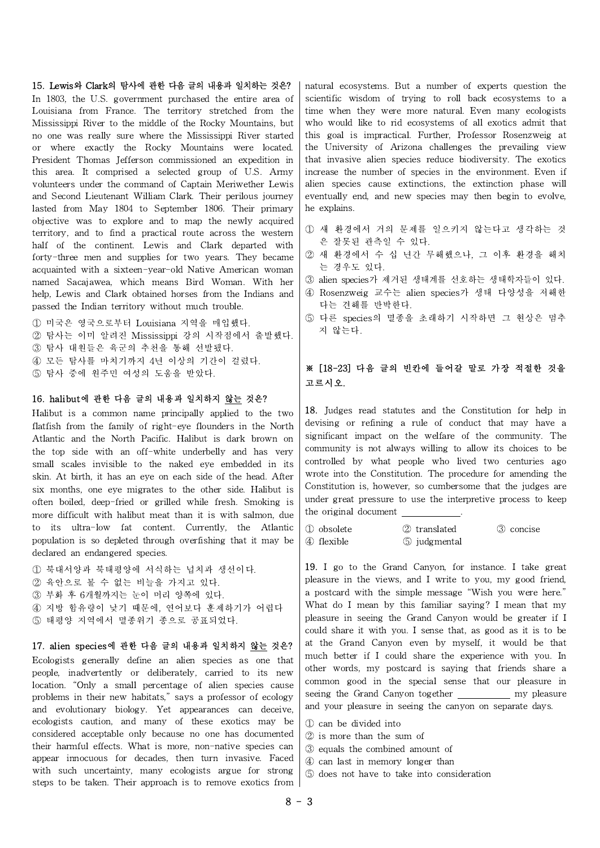#### 15. Lewis와 Clark의 탐사에 관한 다음 글의 내용과 일치하는 것은?

In 1803, the U.S. government purchased the entire area of Louisiana from France. The territory stretched from the Mississippi River to the middle of the Rocky Mountains, but no one was really sure where the Mississippi River started or where exactly the Rocky Mountains were located. President Thomas Jefferson commissioned an expedition in this area. It comprised a selected group of U.S. Army volunteers under the command of Captain Meriwether Lewis and Second Lieutenant William Clark. Their perilous journey lasted from May 1804 to September 1806. Their primary objective was to explore and to map the newly acquired territory, and to find a practical route across the western half of the continent. Lewis and Clark departed with forty-three men and supplies for two years. They became acquainted with a sixteen-year-old Native American woman named Sacajawea, which means Bird Woman. With her help, Lewis and Clark obtained horses from the Indians and passed the Indian territory without much trouble.

① 미국은 영국으로부터 Louisiana 지역을 매입했다.

② 탐사는 이미 알려진 Mississippi 강의 시작점에서 출발했다.

③ 탐사 대원들은 육군의 추천을 통해 선발됐다.

④ 모든 탐사를 마치기까지 4년 이상의 기간이 걸렸다.

⑤ 탐사 중에 원주민 여성의 도움을 받았다.

## 16. halibut에 관한 다음 글의 내용과 일치하지 않는 것은?

Halibut is a common name principally applied to the two flatfish from the family of right-eye flounders in the North Atlantic and the North Pacific. Halibut is dark brown on the top side with an off-white underbelly and has very small scales invisible to the naked eye embedded in its skin. At birth, it has an eye on each side of the head. After six months, one eye migrates to the other side. Halibut is often boiled, deep-fried or grilled while fresh. Smoking is more difficult with halibut meat than it is with salmon, due to its ultra-low fat content. Currently, the Atlantic  $\int \hat{p}$  obsolete population is so depleted through overfishing that it may be  $\int \Phi$  flexible declared an endangered species.

 북대서양과 북태평양에 서식하는 넙치과 생선이다. 육안으로 볼 수 없는 비늘을 가지고 있다. 부화 후 6개월까지는 눈이 머리 양쪽에 있다. 지방 함유량이 낮기 때문에, 연어보다 훈제하기가 어렵다 태평양 지역에서 멸종위기 종으로 공표되었다.

#### 17. alien species에 관한 다음 글의 내용과 일치하지 않는 것은?

Ecologists generally define an alien species as one that people, inadvertently or deliberately, carried to its new location. "Only a small percentage of alien species cause problems in their new habitats," says a professor of ecology and evolutionary biology. Yet appearances can deceive, ecologists caution, and many of these exotics may be considered acceptable only because no one has documented their harmful effects. What is more, non-native species can appear innocuous for decades, then turn invasive. Faced with such uncertainty, many ecologists argue for strong steps to be taken. Their approach is to remove exotics from natural ecosystems. But a number of experts question the scientific wisdom of trying to roll back ecosystems to a time when they were more natural. Even many ecologists who would like to rid ecosystems of all exotics admit that this goal is impractical. Further, Professor Rosenzweig at the University of Arizona challenges the prevailing view that invasive alien species reduce biodiversity. The exotics increase the number of species in the environment. Even if alien species cause extinctions, the extinction phase will eventually end, and new species may then begin to evolve, he explains.

- ① 새 환경에서 거의 문제를 일으키지 않는다고 생각하는 것 은 잘못된 관측일 수 있다.
- ② 새 환경에서 수 십 년간 무해했으나, 그 이후 환경을 해치 는 경우도 있다.
- ③ alien species가 제거된 생태계를 선호하는 생태학자들이 있다.
- ④ Rosenzweig 교수는 alien species가 생태 다양성을 저해한 다는 견해를 반박한다.
- ⑤ 다른 species의 멸종을 초래하기 시작하면 그 현상은 멈추 지 않는다.

## ※ [18-23] 다음 글의 빈칸에 들어갈 말로 가장 적절한 것을 고르시오.

18. Judges read statutes and the Constitution for help in devising or refining a rule of conduct that may have a significant impact on the welfare of the community. The community is not always willing to allow its choices to be controlled by what people who lived two centuries ago wrote into the Constitution. The procedure for amending the Constitution is, however, so cumbersome that the judges are under great pressure to use the interpretive process to keep the original document .

② translated ③ concise ④ flexible⑤ judgmental

19. I go to the Grand Canyon, for instance. I take great pleasure in the views, and I write to you, my good friend, a postcard with the simple message "Wish you were here." What do I mean by this familiar saying? I mean that my pleasure in seeing the Grand Canyon would be greater if I could share it with you. I sense that, as good as it is to be at the Grand Canyon even by myself, it would be that much better if I could share the experience with you. In other words, my postcard is saying that friends share a common good in the special sense that our pleasure in seeing the Grand Canyon together \_\_\_\_\_\_\_\_\_\_\_ my pleasure and your pleasure in seeing the canyon on separate days.

- ① can be divided into
- ② is more than the sum of
- ③ equals the combined amount of
- ④ can last in memory longer than
- ⑤ does not have to take into consideration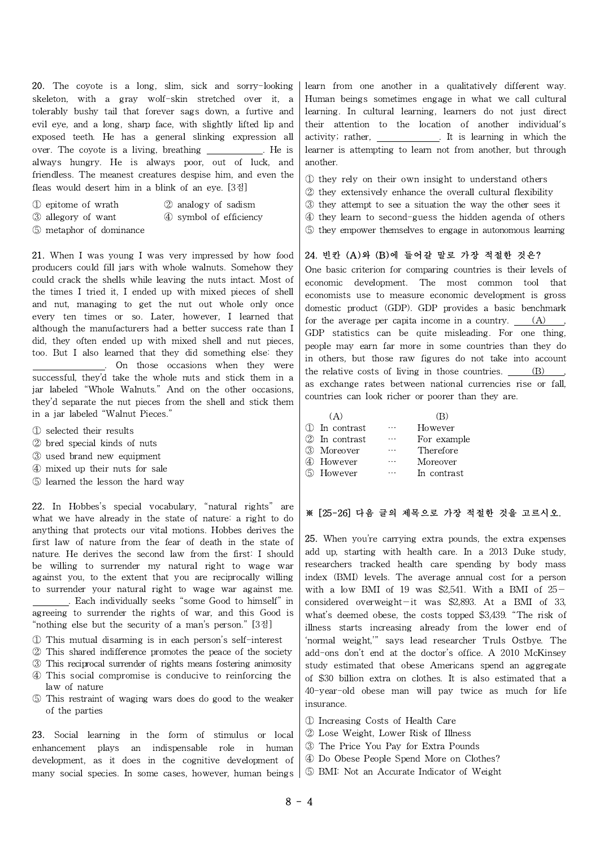20. The coyote is a long, slim, sick and sorry-looking skeleton, with a gray wolf-skin stretched over it, a tolerably bushy tail that forever sags down, a furtive and evil eye, and a long, sharp face, with slightly lifted lip and exposed teeth. He has a general slinking expression all over. The coyote is a living, breathing . He is always hungry. He is always poor, out of luck, and friendless. The meanest creatures despise him, and even the fleas would desert him in a blink of an eye.[3점]

- ① epitome of wrath ② analogy of sadism
- ③ allegory of want ④ symbol of efficiency
- ⑤ metaphor of dominance

21. When I was young I was very impressed by how food producers could fill jars with whole walnuts. Somehow they could crack the shells while leaving the nuts intact. Most of the times I tried it, I ended up with mixed pieces of shell and nut, managing to get the nut out whole only once every ten times or so. Later, however, I learned that although the manufacturers had a better success rate than I did, they often ended up with mixed shell and nut pieces, too. But I also learned that they did something else: they . On those occasions when they were

successful, they'd take the whole nuts and stick them in a jar labeled "Whole Walnuts." And on the other occasions, they'd separate the nut pieces from the shell and stick them in a jar labeled "Walnut Pieces."

- ① selected their results
- ② bred special kinds of nuts
- ③ used brand new equipment
- ④ mixed up their nuts for sale
- ⑤ learned the lesson the hard way

22. In Hobbes's special vocabulary, "natural rights" are what we have already in the state of nature: a right to do anything that protects our vital motions. Hobbes derives the first law of nature from the fear of death in the state of nature. He derives the second law from the first: I should be willing to surrender my natural right to wage war against you, to the extent that you are reciprocally willing to surrender your natural right to wage war against me. . Each individually seeks "some Good to himself" in agreeing to surrender the rights of war, and this Good is "nothing else but the security of a man's person." [3점]

- ① This mutual disarming is in each person's self-interest
- ② This shared indifference promotes the peace of the society
- ③ This reciprocal surrender of rights means fostering animosity
- ④ This social compromise is conducive to reinforcing the law of nature
- ⑤ This restraint of waging wars does do good to the weaker of the parties

23. Social learning in the form of stimulus or local enhancement plays an indispensable role in human development, as it does in the cognitive development of many social species. In some cases, however, human beings learn from one another in a qualitatively different way. Human beings sometimes engage in what we call cultural learning. In cultural learning, learners do not just direct their attention to the location of another individual's activity; rather, . It is learning in which the learner is attempting to learn not from another, but through another.

- ① they rely on their own insight to understand others
- ② they extensively enhance the overall cultural flexibility
- ③ they attempt to see a situation the way the other sees it
- ④ they learn to second-guess the hidden agenda of others
- ⑤ they empower themselves to engage in autonomous learning

#### 24. 빈칸 (A)와 (B)에 들어갈 말로 가장 적절한 것은?

One basic criterion for comparing countries is their levels of economic development. The most common tool that economists use to measure economic development is gross domestic product (GDP). GDP provides a basic benchmark for the average per capita income in a country.  $(A)$ GDP statistics can be quite misleading. For one thing, people may earn far more in some countries than they do in others, but those raw figures do not take into account the relative costs of living in those countries.  $(B)$ as exchange rates between national currencies rise or fall, countries can look richer or poorer than they are.

| (A)           |           | (B)         |
|---------------|-----------|-------------|
| ① In contrast | $\cdots$  | However     |
| 2 In contrast | $\cdots$  | For example |
| 3 Moreover    | $\cdots$  | Therefore   |
| 4) However    | $\ddotsc$ | Moreover    |
| 5 However     |           | In contrast |

## ※ [25-26] 다음 글의 제목으로 가장 적절한 것을 고르시오.

25. When you're carrying extra pounds, the extra expenses add up, starting with health care. In a 2013 Duke study, researchers tracked health care spending by body mass index (BMI) levels. The average annual cost for a person with a low BMI of 19 was \$2,541. With a BMI of  $25$ considered overweight—it was \$2,893. At a BMI of 33, what's deemed obese, the costs topped \$3,439. "The risk of illness starts increasing already from the lower end of 'normal weight,'" says lead researcher Truls Ostbye. The add-ons don't end at the doctor's office. A 2010 McKinsey study estimated that obese Americans spend an aggregate of \$30 billion extra on clothes. It is also estimated that a 40-year-old obese man will pay twice as much for life insurance.

- ① Increasing Costs of Health Care
- ② Lose Weight, Lower Risk of Illness
- ③ The Price You Pay for Extra Pounds
- ④ Do Obese People Spend More on Clothes?
- ⑤ BMI: Not an Accurate Indicator of Weight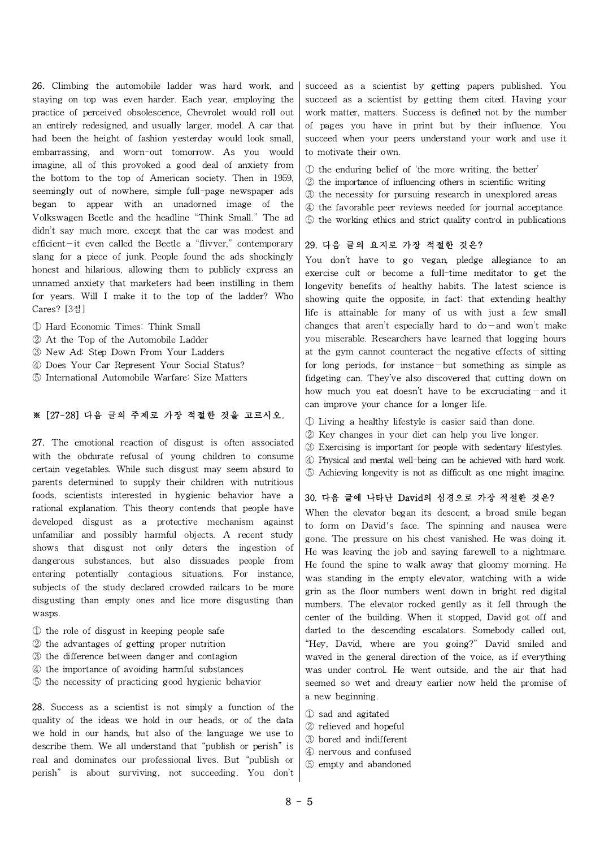26. Climbing the automobile ladder was hard work, and staying on top was even harder. Each year, employing the practice of perceived obsolescence, Chevrolet would roll out an entirely redesigned, and usually larger, model. A car that had been the height of fashion yesterday would look small, embarrassing, and worn-out tomorrow. As you would imagine, all of this provoked a good deal of anxiety from the bottom to the top of American society. Then in 1959, seemingly out of nowhere, simple full-page newspaper ads began to appear with an unadorned image of the Volkswagen Beetle and the headline "Think Small." The ad didn't say much more, except that the car was modest and efficient—it even called the Beetle a "flivver," contemporary slang for a piece of junk. People found the ads shockingly honest and hilarious, allowing them to publicly express an unnamed anxiety that marketers had been instilling in them for years. Will I make it to the top of the ladder? Who Cares? [3점]

- ① Hard Economic Times: Think Small
- ② At the Top of the Automobile Ladder
- ③ New Ad: Step Down From Your Ladders
- ④ Does Your Car Represent Your Social Status?
- ⑤ International Automobile Warfare: Size Matters

## ※ [27-28] 다음 글의 주제로 가장 적절한 것을 고르시오.

27. The emotional reaction of disgust is often associated with the obdurate refusal of young children to consume certain vegetables. While such disgust may seem absurd to parents determined to supply their children with nutritious foods, scientists interested in hygienic behavior have a rational explanation. This theory contends that people have developed disgust as a protective mechanism against unfamiliar and possibly harmful objects. A recent study shows that disgust not only deters the ingestion of dangerous substances, but also dissuades people from entering potentially contagious situations. For instance, subjects of the study declared crowded railcars to be more disgusting than empty ones and lice more disgusting than wasps.

- ① the role of disgust in keeping people safe
- ② the advantages of getting proper nutrition
- ③ the difference between danger and contagion
- ④ the importance of avoiding harmful substances
- ⑤ the necessity of practicing good hygienic behavior

28. Success as a scientist is not simply a function of the quality of the ideas we hold in our heads, or of the data we hold in our hands, but also of the language we use to describe them. We all understand that "publish or perish" is real and dominates our professional lives. But "publish or perish" is about surviving, not succeeding. You don't succeed as a scientist by getting papers published. You succeed as a scientist by getting them cited. Having your work matter, matters. Success is defined not by the number of pages you have in print but by their influence. You succeed when your peers understand your work and use it to motivate their own.

- ① the enduring belief of 'the more writing, the better'
- ② the importance of influencing others in scientific writing
- ③ the necessity for pursuing research in unexplored areas
- ④ the favorable peer reviews needed for journal acceptance
- ⑤ the working ethics and strict quality control in publications

## 29. 다음 글의 요지로 가장 적절한 것은?

You don't have to go vegan, pledge allegiance to an exercise cult or become a full-time meditator to get the longevity benefits of healthy habits. The latest science is showing quite the opposite, in fact: that extending healthy life is attainable for many of us with just a few small changes that aren't especially hard to  $do$  and won't make you miserable. Researchers have learned that logging hours at the gym cannot counteract the negative effects of sitting for long periods, for instance—but something as simple as fidgeting can. They've also discovered that cutting down on how much you eat doesn't have to be excruciating—and it can improve your chance for a longer life.

- ① Living a healthy lifestyle is easier said than done.
- ② Key changes in your diet can help you live longer.
- ③ Exercising is important for people with sedentary lifestyles.
- ④ Physical and mental well-being can be achieved with hard work.
- ⑤ Achieving longevity is not as difficult as one might imagine.

## 30. 다음 글에 나타난 David의 심경으로 가장 적절한 것은?

When the elevator began its descent, a broad smile began to form on David's face. The spinning and nausea were gone. The pressure on his chest vanished. He was doing it. He was leaving the job and saying farewell to a nightmare. He found the spine to walk away that gloomy morning. He was standing in the empty elevator, watching with a wide grin as the floor numbers went down in bright red digital numbers. The elevator rocked gently as it fell through the center of the building. When it stopped, David got off and darted to the descending escalators. Somebody called out, "Hey, David, where are you going?" David smiled and waved in the general direction of the voice, as if everything was under control. He went outside, and the air that had seemed so wet and dreary earlier now held the promise of a new beginning.

- ① sad and agitated
- ② relieved and hopeful
- ③ bored and indifferent
- ④ nervous and confused
- ⑤ empty and abandoned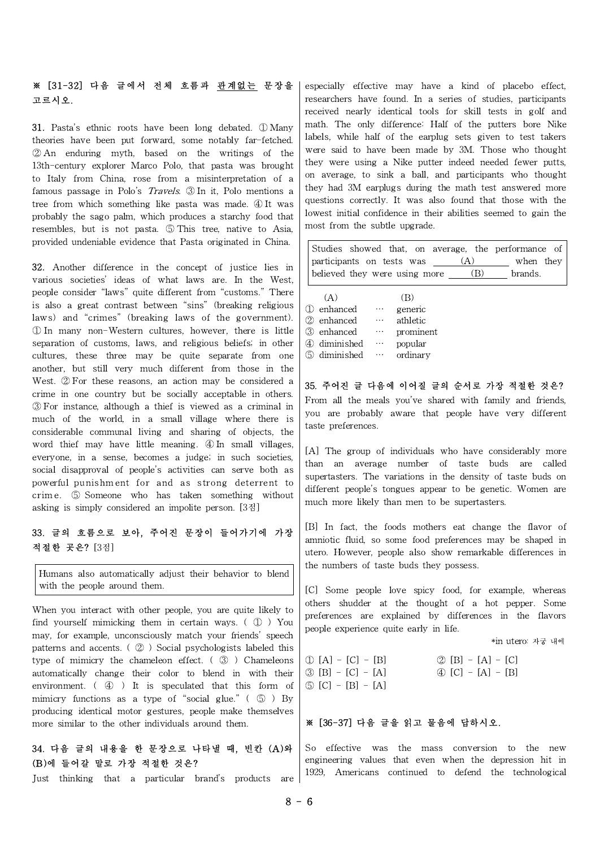## ※ [31-32] 다음 글에서 전체 흐름과 관계없는 문장을 고르시오.

31. Pasta's ethnic roots have been long debated. ① Many theories have been put forward, some notably far-fetched. ② An enduring myth, based on the writings of the 13th-century explorer Marco Polo, that pasta was brought to Italy from China, rose from a misinterpretation of a famous passage in Polo's Travels. ③ In it, Polo mentions a tree from which something like pasta was made. ④ It was probably the sago palm, which produces a starchy food that resembles, but is not pasta. ⑤ This tree, native to Asia, provided undeniable evidence that Pasta originated in China.

32. Another difference in the concept of justice lies in various societies' ideas of what laws are. In the West, people consider "laws" quite different from "customs." There is also a great contrast between "sins" (breaking religious laws) and "crimes" (breaking laws of the government). ① In many non-Western cultures, however, there is little separation of customs, laws, and religious beliefs; in other cultures, these three may be quite separate from one another, but still very much different from those in the West. ② For these reasons, an action may be considered a crime in one country but be socially acceptable in others. ③ For instance, although a thief is viewed as a criminal in much of the world, in a small village where there is considerable communal living and sharing of objects, the word thief may have little meaning. ④ In small villages, everyone, in a sense, becomes a judge; in such societies, social disapproval of people's activities can serve both as considerable communal living and sharing of objects, the word thief may have little meaning.  $\bigoplus$  In small villages, everyone, in a sense, becomes a judge; in such societies, social disapproval of people's activities ca word thief may have little meaning.  $\overline{\Phi}$  In small villages, everyone, in a sense, becomes a judge; in such societies, social disapproval of people's activities can serve both as powerful punishment for and as strong d asking is simply considered an impolite person. [3점]

## 33. 글의 흐름으로 보아, 주어진 문장이 들어가기에 가장 적절한 곳은? [3점]

Humans also automatically adjust their behavior to blend with the people around them.

When you interact with other people, you are quite likely to find yourself mimicking them in certain ways. ( ① ) You may, for example, unconsciously match your friends' speech patterns and accents. ( ② ) Social psychologists labeled this type of mimicry the chameleon effect. ( $\circled{3}$ ) Chameleons  $\circled{1}$  [A] - [C] - [B] automatically change their color to blend in with their  $\mathcal{B}[B] - [C] - [A]$ environment. ( ④ ) It is speculated that this form of mimicry functions as a type of "social glue."  $( \circled{5} )$  By producing identical motor gestures, people make themselves more similar to the other individuals around them.

## 34. 다음 글의 내용을 한 문장으로 나타낼 때, 빈칸 (A)와 (B)에 들어갈 말로 가장 적절한 것은?

Just thinking that a particular brand's products are

especially effective may have a kind of placebo effect, researchers have found. In a series of studies, participants received nearly identical tools for skill tests in golf and math. The only difference: Half of the putters bore Nike labels, while half of the earplug sets given to test takers were said to have been made by 3M. Those who thought they were using a Nike putter indeed needed fewer putts, on average, to sink a ball, and participants who thought they had 3M earplugs during the math test answered more questions correctly. It was also found that those with the lowest initial confidence in their abilities seemed to gain the most from the subtle upgrade.

| participants on tests was _<br>believed they were using more |                      |                    | (A)<br>(B) | Studies showed that, on average, the performance of<br>when they<br>brands. |  |
|--------------------------------------------------------------|----------------------|--------------------|------------|-----------------------------------------------------------------------------|--|
| (A)                                                          |                      | $\vert B \rangle$  |            |                                                                             |  |
| ① enhanced                                                   | $\sim$ $\sim$ $\sim$ | generic            |            |                                                                             |  |
| ② enhanced                                                   | $\ldots$             | athletic           |            |                                                                             |  |
| ③ enhanced                                                   |                      | $\cdots$ prominent |            |                                                                             |  |

35. 주어진 글 다음에 이어질 글의 순서로 가장 적절한 것은? From all the meals you've shared with family and friends, you are probably aware that people have very different taste preferences.

④ diminished … popular ⑤ diminished … ordinary

[A] The group of individuals who have considerably more than an average number of taste buds are called supertasters. The variations in the density of taste buds on different people's tongues appear to be genetic. Women are much more likely than men to be supertasters.

[B] In fact, the foods mothers eat change the flavor of amniotic fluid, so some food preferences may be shaped in utero. However, people also show remarkable differences in the numbers of taste buds they possess.

[C] Some people love spicy food, for example, whereas others shudder at the thought of a hot pepper. Some preferences are explained by differences in the flavors people experience quite early in life.

\*in utero: 자궁 내에

 $\circled{2}$  [B] - [A] - [C]  $\circled{4}$  [C] - [A] - [B] ⑤ [C] - [B] - [A]

#### ※ [36-37] 다음 글을 읽고 물음에 답하시오.

So effective was the mass conversion to the new engineering values that even when the depression hit in 1929, Americans continued to defend the technological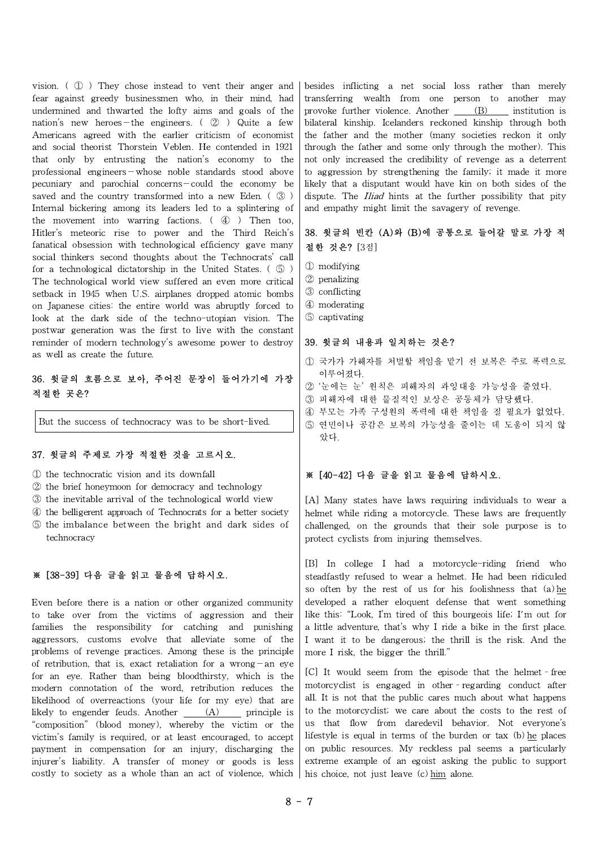vision. ( ① ) They chose instead to vent their anger and fear against greedy businessmen who, in their mind, had undermined and thwarted the lofty aims and goals of the nation's new heroes—the engineers. ( ② ) Quite a few Americans agreed with the earlier criticism of economist and social theorist Thorstein Veblen. He contended in 1921 that only by entrusting the nation's economy to the professional engineers—whose noble standards stood above pecuniary and parochial concerns—could the economy be saved and the country transformed into a new Eden. ( $\circled{3}$ ) Internal bickering among its leaders led to a splintering of the movement into warring factions. ( ④ ) Then too, Hitler's meteoric rise to power and the Third Reich's fanatical obsession with technological efficiency gave many social thinkers second thoughts about the Technocrats' call for a technological dictatorship in the United States. ( ⑤ ) The technological world view suffered an even more critical setback in 1945 when U.S. airplanes dropped atomic bombs on Japanese cities: the entire world was abruptly forced to look at the dark side of the techno-utopian vision. The postwar generation was the first to live with the constant reminder of modern technology's awesome power to destroy as well as create the future.

## 36. 윗글의 흐름으로 보아, 주어진 문장이 들어가기에 가장 적절한 곳은?

But the success of technocracy was to be short-lived.

## 37. 윗글의 주제로 가장 적절한 것을 고르시오.

① the technocratic vision and its downfall

- ② the brief honeymoon for democracy and technology
- ③ the inevitable arrival of the technological world view
- ④ the belligerent approach of Technocrats for a better society
- ⑤ the imbalance between the bright and dark sides of technocracy

#### ※ [38-39] 다음 글을 읽고 물음에 답하시오.

Even before there is a nation or other organized community to take over from the victims of aggression and their families the responsibility for catching and punishing aggressors, customs evolve that alleviate some of the problems of revenge practices. Among these is the principle of retribution, that is, exact retaliation for a wrong—an eye for an eye. Rather than being bloodthirsty, which is the modern connotation of the word, retribution reduces the likelihood of overreactions (your life for my eye) that are likely to engender feuds. Another  $(A)$  principle is "composition" (blood money), whereby the victim or the victim's family is required, or at least encouraged, to accept payment in compensation for an injury, discharging the injurer's liability. A transfer of money or goods is less costly to society as a whole than an act of violence, which

besides inflicting a net social loss rather than merely transferring wealth from one person to another may provoke further violence. Another  $\qquad$  (B) institution is bilateral kinship. Icelanders reckoned kinship through both the father and the mother (many societies reckon it only through the father and some only through the mother). This not only increased the credibility of revenge as a deterrent to aggression by strengthening the family; it made it more likely that a disputant would have kin on both sides of the dispute. The *Iliad* hints at the further possibility that pity and empathy might limit the savagery of revenge.

## 38. 윗글의 빈칸 (A)와 (B)에 공통으로 들어갈 말로 가장 적 절한 것은? [3점]

- ① modifying
- ② penalizing
- ③ conflicting
- ④ moderating
- ⑤ captivating

### 39. 윗글의 내용과 일치하는 것은?

- ① 국가가 가해자를 처벌할 책임을 맡기 전 보복은 주로 폭력으로 이루어졌다.
- ② '눈에는 눈' 원칙은 피해자의 과잉대응 가능성을 줄였다.
- ③ 피해자에 대한 물질적인 보상은 공동체가 담당했다.
- ④ 부모는 가족 구성원의 폭력에 대한 책임을 질 필요가 없었다.
- ⑤ 연민이나 공감은 보복의 가능성을 줄이는 데 도움이 되지 않 았다.

#### ※ [40-42] 다음 글을 읽고 물음에 답하시오.

[A] Many states have laws requiring individuals to wear a helmet while riding a motorcycle. These laws are frequently challenged, on the grounds that their sole purpose is to protect cyclists from injuring themselves.

[B] In college I had a motorcycle-riding friend who steadfastly refused to wear a helmet. He had been ridiculed so often by the rest of us for his foolishness that  $(a)$  he developed a rather eloquent defense that went something like this: "Look, I'm tired of this bourgeois life; I'm out for a little adventure, that's why I ride a bike in the first place. I want it to be dangerous; the thrill is the risk. And the more I risk, the bigger the thrill."

[C] It would seem from the episode that the helmet–free motorcyclist is engaged in other–regarding conduct after all. It is not that the public cares much about what happens to the motorcyclist; we care about the costs to the rest of us that flow from daredevil behavior. Not everyone's lifestyle is equal in terms of the burden or tax (b) he places on public resources. My reckless pal seems a particularly extreme example of an egoist asking the public to support his choice, not just leave (c) him alone.